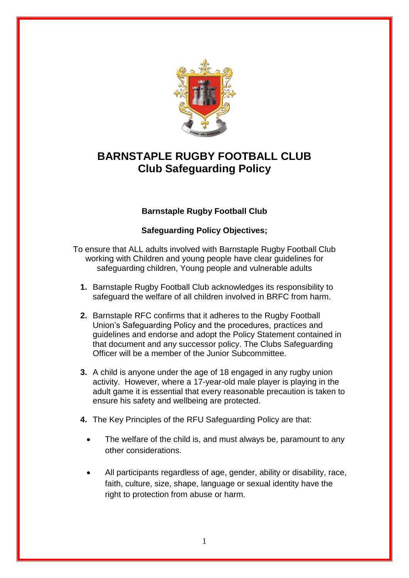

## **BARNSTAPLE RUGBY FOOTBALL CLUB Club Safeguarding Policy**

## **Barnstaple Rugby Football Club**

## **Safeguarding Policy Objectives;**

To ensure that ALL adults involved with Barnstaple Rugby Football Club working with Children and young people have clear guidelines for safeguarding children, Young people and vulnerable adults

- **1.** Barnstaple Rugby Football Club acknowledges its responsibility to safeguard the welfare of all children involved in BRFC from harm.
- **2.** Barnstaple RFC confirms that it adheres to the Rugby Football Union"s Safeguarding Policy and the procedures, practices and guidelines and endorse and adopt the Policy Statement contained in that document and any successor policy. The Clubs Safeguarding Officer will be a member of the Junior Subcommittee.
- **3.** A child is anyone under the age of 18 engaged in any rugby union activity. However, where a 17-year-old male player is playing in the adult game it is essential that every reasonable precaution is taken to ensure his safety and wellbeing are protected.
- **4.** The Key Principles of the RFU Safeguarding Policy are that:
	- The welfare of the child is, and must always be, paramount to any other considerations.
	- All participants regardless of age, gender, ability or disability, race, faith, culture, size, shape, language or sexual identity have the right to protection from abuse or harm.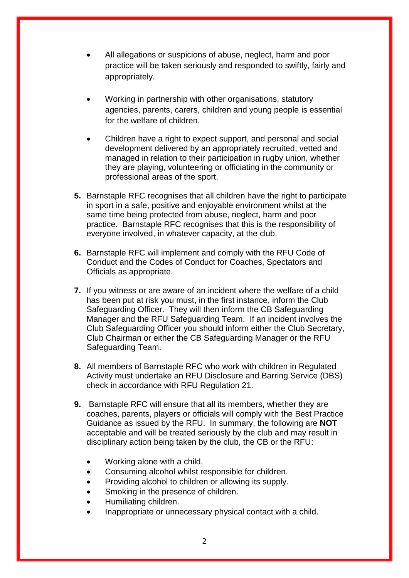- All allegations or suspicions of abuse, neglect, harm and poor practice will be taken seriously and responded to swiftly, fairly and appropriately.
- Working in partnership with other organisations, statutory agencies, parents, carers, children and young people is essential for the welfare of children.
- Children have a right to expect support, and personal and social development delivered by an appropriately recruited, vetted and managed in relation to their participation in rugby union, whether they are playing, volunteering or officiating in the community or professional areas of the sport.
- **5.** Barnstaple RFC recognises that all children have the right to participate in sport in a safe, positive and enjoyable environment whilst at the same time being protected from abuse, neglect, harm and poor practice. Barnstaple RFC recognises that this is the responsibility of everyone involved, in whatever capacity, at the club.
- **6.** Barnstaple RFC will implement and comply with the RFU Code of Conduct and the Codes of Conduct for Coaches, Spectators and Officials as appropriate.
- **7.** If you witness or are aware of an incident where the welfare of a child has been put at risk you must, in the first instance, inform the Club Safeguarding Officer. They will then inform the CB Safeguarding Manager and the RFU Safeguarding Team. If an incident involves the Club Safeguarding Officer you should inform either the Club Secretary, Club Chairman or either the CB Safeguarding Manager or the RFU Safeguarding Team.
- **8.** All members of Barnstaple RFC who work with children in Regulated Activity must undertake an RFU Disclosure and Barring Service (DBS) check in accordance with RFU Regulation 21.
- **9.** Barnstaple RFC will ensure that all its members, whether they are coaches, parents, players or officials will comply with the Best Practice Guidance as issued by the RFU. In summary, the following are **NOT** acceptable and will be treated seriously by the club and may result in disciplinary action being taken by the club, the CB or the RFU:
	- Working alone with a child.
	- Consuming alcohol whilst responsible for children.
	- Providing alcohol to children or allowing its supply.
	- Smoking in the presence of children.
	- Humiliating children.
	- Inappropriate or unnecessary physical contact with a child.